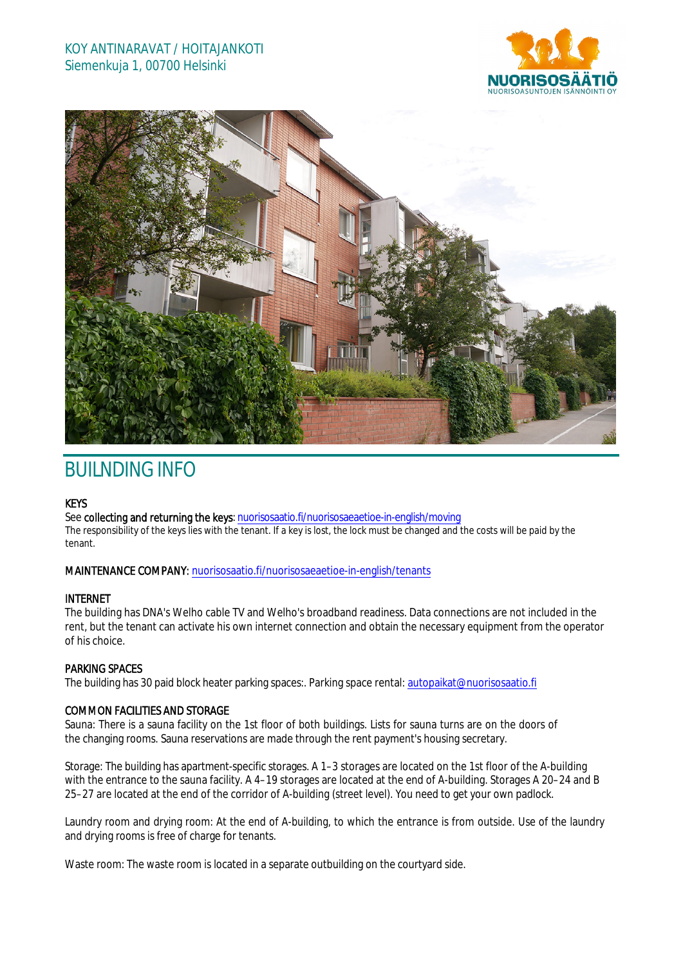## KOY ANTINARAVAT / HOITAJANKOTI Siemenkuja 1, 00700 Helsinki





# BUILNDING INFO

### **KEYS**

See collecting and returning the keys: nuorisosaatio.fi/nuorisosaeaetioe-in-english/moving The responsibility of the keys lies with the tenant. If a key is lost, the lock must be changed and the costs will be paid by the tenant.

### MAINTENANCE COMPANY: nuorisosaatio.fi/nuorisosaeaetioe-in-english/tenants

### INTERNET

The building has DNA's Welho cable TV and Welho's broadband readiness. Data connections are not included in the rent, but the tenant can activate his own internet connection and obtain the necessary equipment from the operator of his choice.

### PARKING SPACES

The building has 30 paid block heater parking spaces:. Parking space rental: autopaikat@nuorisosaatio.fi

### COMMON FACILITIES AND STORAGE

Sauna: There is a sauna facility on the 1st floor of both buildings. Lists for sauna turns are on the doors of the changing rooms. Sauna reservations are made through the rent payment's housing secretary.

Storage: The building has apartment-specific storages. A 1–3 storages are located on the 1st floor of the A-building with the entrance to the sauna facility. A 4–19 storages are located at the end of A-building. Storages A 20–24 and B 25–27 are located at the end of the corridor of A-building (street level). You need to get your own padlock.

Laundry room and drying room: At the end of A-building, to which the entrance is from outside. Use of the laundry and drying rooms is free of charge for tenants.

Waste room: The waste room is located in a separate outbuilding on the courtyard side.